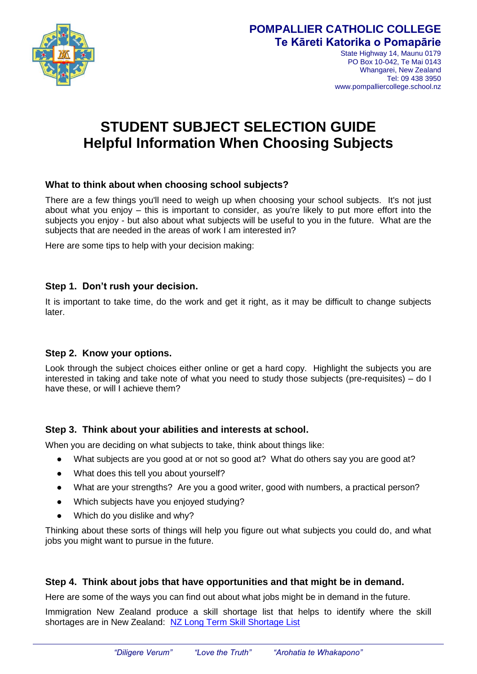

# **POMPALLIER CATHOLIC COLLEGE Te Kāreti Katorika o Pomapārie**

State Highway 14, Maunu 0179 PO Box 10-042, Te Mai 0143 Whangarei, New Zealand Tel: 09 438 3950 www.pompalliercollege.school.nz

# **STUDENT SUBJECT SELECTION GUIDE Helpful Information When Choosing Subjects**

# **What to think about when choosing school subjects?**

There are a few things you'll need to weigh up when choosing your school subjects. It's not just about what you enjoy – this is important to consider, as you're likely to put more effort into the subjects you enjoy - but also about what subjects will be useful to you in the future. What are the subjects that are needed in the areas of work I am interested in?

Here are some tips to help with your decision making:

#### **Step 1. Don't rush your decision.**

It is important to take time, do the work and get it right, as it may be difficult to change subjects later.

#### **Step 2. Know your options.**

Look through the subject choices either online or get a hard copy. Highlight the subjects you are interested in taking and take note of what you need to study those subjects (pre-requisites) – do I have these, or will I achieve them?

# **Step 3. Think about your abilities and interests at school.**

When you are deciding on what subjects to take, think about things like:

- What subjects are you good at or not so good at? What do others say you are good at?
- What does this tell you about yourself?
- What are your strengths? Are you a good writer, good with numbers, a practical person?
- Which subjects have you enjoyed studying?
- Which do you dislike and why?

Thinking about these sorts of things will help you figure out what subjects you could do, and what jobs you might want to pursue in the future.

# **Step 4. Think about jobs that have opportunities and that might be in demand.**

Here are some of the ways you can find out about what jobs might be in demand in the future.

Immigration New Zealand produce a skill shortage list that helps to identify where the skill shortages are in New Zealand: [NZ Long Term Skill Shortage List](https://skillshortages.immigration.govt.nz/assets/uploads/long-term-skill-shortage-list.pdf)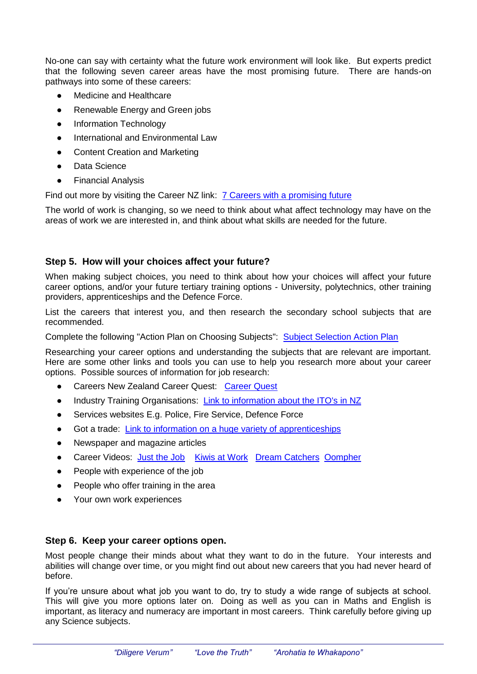No-one can say with certainty what the future work environment will look like. But experts predict that the following seven career areas have the most promising future. There are hands-on pathways into some of these careers:

- Medicine and Healthcare
- Renewable Energy and Green jobs
- Information Technology
- International and Environmental Law
- Content Creation and Marketing
- Data Science
- Financial Analysis

Find out more by visiting the Career NZ link: [7 Careers with a promising future](https://www.careers.govt.nz/articles/7-careers-with-a-promising-future/)

The world of work is changing, so we need to think about what affect technology may have on the areas of work we are interested in, and think about what skills are needed for the future.

#### **Step 5. How will your choices affect your future?**

When making subject choices, you need to think about how your choices will affect your future career options, and/or your future tertiary training options - University, polytechnics, other training providers, apprenticeships and the Defence Force.

List the careers that interest you, and then research the secondary school subjects that are recommended.

Complete the following "Action Plan on Choosing Subjects": [Subject Selection Action Plan](https://www.careers.govt.nz/assets/secondary-school-study-and-training/choosing-school-subjects-action-plan.pdf) 

Researching your career options and understanding the subjects that are relevant are important. Here are some other links and tools you can use to help you research more about your career options. Possible sources of information for job research:

- Careers New Zealand [Career Quest](https://www.careers.govt.nz/tools/careerquest/): Career Quest
- Industry Training Organisations: [Link to information about the ITO's in NZ](https://www.tec.govt.nz/teo/working-with-teos/itos/directory/)
- Services websites E.g. Police, Fire Service, Defence Force
- Got a trade: Link to information on a huge variety of apprenticeships
- Newspaper and magazine articles
- Career Videos: [Just the Job](http://www.justthejob.co.nz/) [Kiwis at Work](https://www.youtube.com/channel/UCcrweX8DtFjgJlTH9X54NPQ) [Dream Catchers](https://www.youtube.com/playlist?list=PL027blklz7IBwONhJjpgqqPzkqCdlAzmT) [Oompher](https://www.youtube.com/channel/UC_knKJOIo2Cq4Pf4UtRhBsA)
- People with experience of the job
- People who offer training in the area
- Your own work experiences

#### **Step 6. Keep your career options open.**

Most people change their minds about what they want to do in the future. Your interests and abilities will change over time, or you might find out about new careers that you had never heard of before.

If you're unsure about what job you want to do, try to study a wide range of subjects at school. This will give you more options later on. Doing as well as you can in Maths and English is important, as literacy and numeracy are important in most careers. Think carefully before giving up any Science subjects.